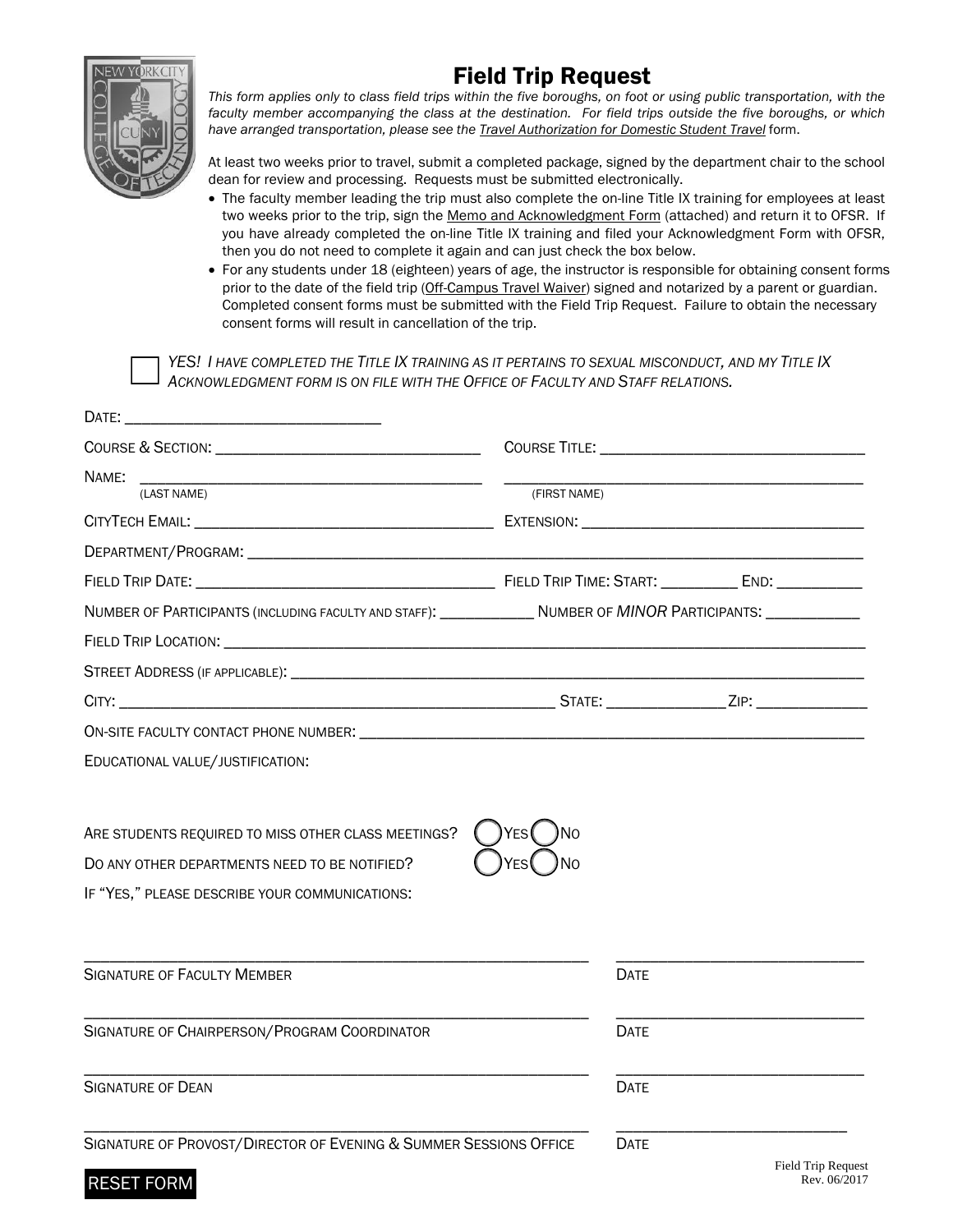

RESET FORM

# Field Trip Request

*This form applies only to class field trips within the five boroughs, on foot or using public transportation, with the faculty member accompanying the class at the destination. For field trips outside the five boroughs, or which have arranged transportation, please see the Travel Authorization for Domestic Student Travel* form.

At least two weeks prior to travel, submit a completed package, signed by the department chair to the school dean for review and processing. Requests must be submitted electronically.

- The faculty member leading the trip must also complete the on-line Title IX training for employees at least two weeks prior to the trip, sign the Memo and Acknowledgment Form (attached) and return it to OFSR. If you have already completed the on-line Title IX training and filed your Acknowledgment Form with OFSR, then you do not need to complete it again and can just check the box below.
- For any students under 18 (eighteen) years of age, the instructor is responsible for obtaining consent forms prior to the date of the field trip (Off-Campus Travel Waiver) signed and notarized by a parent or guardian. Completed consent forms must be submitted with the Field Trip Request. Failure to obtain the necessary consent forms will result in cancellation of the trip.

*YES! I HAVE COMPLETED THE TITLE IX TRAINING AS IT PERTAINS TO SEXUAL MISCONDUCT, AND MY TITLE IX ACKNOWLEDGMENT FORM IS ON FILE WITH THE OFFICE OF FACULTY AND STAFF RELATIONS.* 

| DATE:                                                                                                                                                                                                                         |              |                                                                                                                                                                                                                                |
|-------------------------------------------------------------------------------------------------------------------------------------------------------------------------------------------------------------------------------|--------------|--------------------------------------------------------------------------------------------------------------------------------------------------------------------------------------------------------------------------------|
| COURSE & SECTION: Network of the Second Course of the Second Course of the Second Course of the Second Course of the Second Course of the Second Course of the Second Course of the Second Course of the Second Course of the |              | COURSE TITLE: We have a state of the state of the state of the state of the state of the state of the state of the state of the state of the state of the state of the state of the state of the state of the state of the sta |
| NAME:                                                                                                                                                                                                                         |              |                                                                                                                                                                                                                                |
| (LAST NAME)                                                                                                                                                                                                                   | (FIRST NAME) |                                                                                                                                                                                                                                |
|                                                                                                                                                                                                                               |              |                                                                                                                                                                                                                                |
| DEPARTMENT/PROGRAM: WE ARRIVE TO A STATE OF THE STATE OF THE STATE OF THE STATE OF THE STATE OF THE STATE OF T                                                                                                                |              |                                                                                                                                                                                                                                |
|                                                                                                                                                                                                                               |              |                                                                                                                                                                                                                                |
| NUMBER OF PARTICIPANTS (INCLUDING FACULTY AND STAFF): ______________ NUMBER OF MINOR PARTICIPANTS: ___________                                                                                                                |              |                                                                                                                                                                                                                                |
|                                                                                                                                                                                                                               |              |                                                                                                                                                                                                                                |
|                                                                                                                                                                                                                               |              |                                                                                                                                                                                                                                |
|                                                                                                                                                                                                                               |              |                                                                                                                                                                                                                                |
|                                                                                                                                                                                                                               |              |                                                                                                                                                                                                                                |
| EDUCATIONAL VALUE/JUSTIFICATION:                                                                                                                                                                                              |              |                                                                                                                                                                                                                                |
| ARE STUDENTS REQUIRED TO MISS OTHER CLASS MEETINGS?<br>DO ANY OTHER DEPARTMENTS NEED TO BE NOTIFIED?<br>IF "YES," PLEASE DESCRIBE YOUR COMMUNICATIONS:                                                                        | YFS<br>N٥    |                                                                                                                                                                                                                                |
| <b>SIGNATURE OF FACULTY MEMBER</b>                                                                                                                                                                                            | <b>DATE</b>  |                                                                                                                                                                                                                                |
| SIGNATURE OF CHAIRPERSON/PROGRAM COORDINATOR                                                                                                                                                                                  | <b>DATE</b>  |                                                                                                                                                                                                                                |
| <b>SIGNATURE OF DEAN</b>                                                                                                                                                                                                      | <b>DATE</b>  |                                                                                                                                                                                                                                |
| SIGNATURE OF PROVOST/DIRECTOR OF EVENING & SUMMER SESSIONS OFFICE                                                                                                                                                             | <b>DATE</b>  | <b>Field Trip Request</b>                                                                                                                                                                                                      |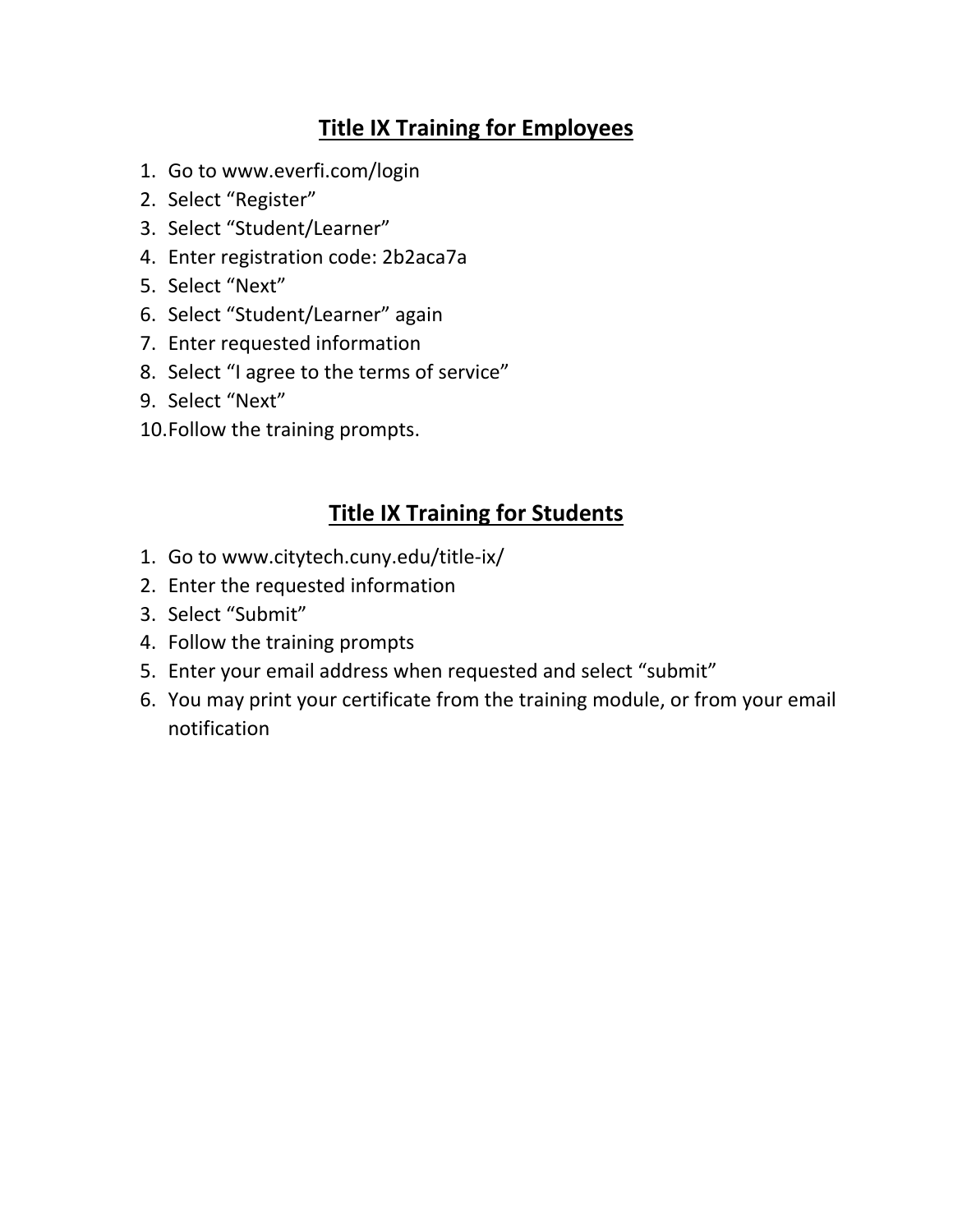# **Title IX Training for Employees**

- 1. Go to [www.everfi.com/login](https://platform.everfi.net/)
- 2. Select "Register"
- 3. Select "Student/Learner"
- 4. Enter registration code: 2b2aca7a
- 5. Select "Next"
- 6. Select "Student/Learner" again
- 7. Enter requested information
- 8. Select "I agree to the terms of service"
- 9. Select "Next"
- 10.Follow the training prompts.

## **Title IX Training for Students**

- 1. Go to [www.citytech.cuny.edu/title](http://www.citytech.cuny.edu/title-ix/)‐ix/
- 2. Enter the requested information
- 3. Select "Submit"
- 4. Follow the training prompts
- 5. Enter your email address when requested and select "submit"
- 6. You may print your certificate from the training module, or from your email notification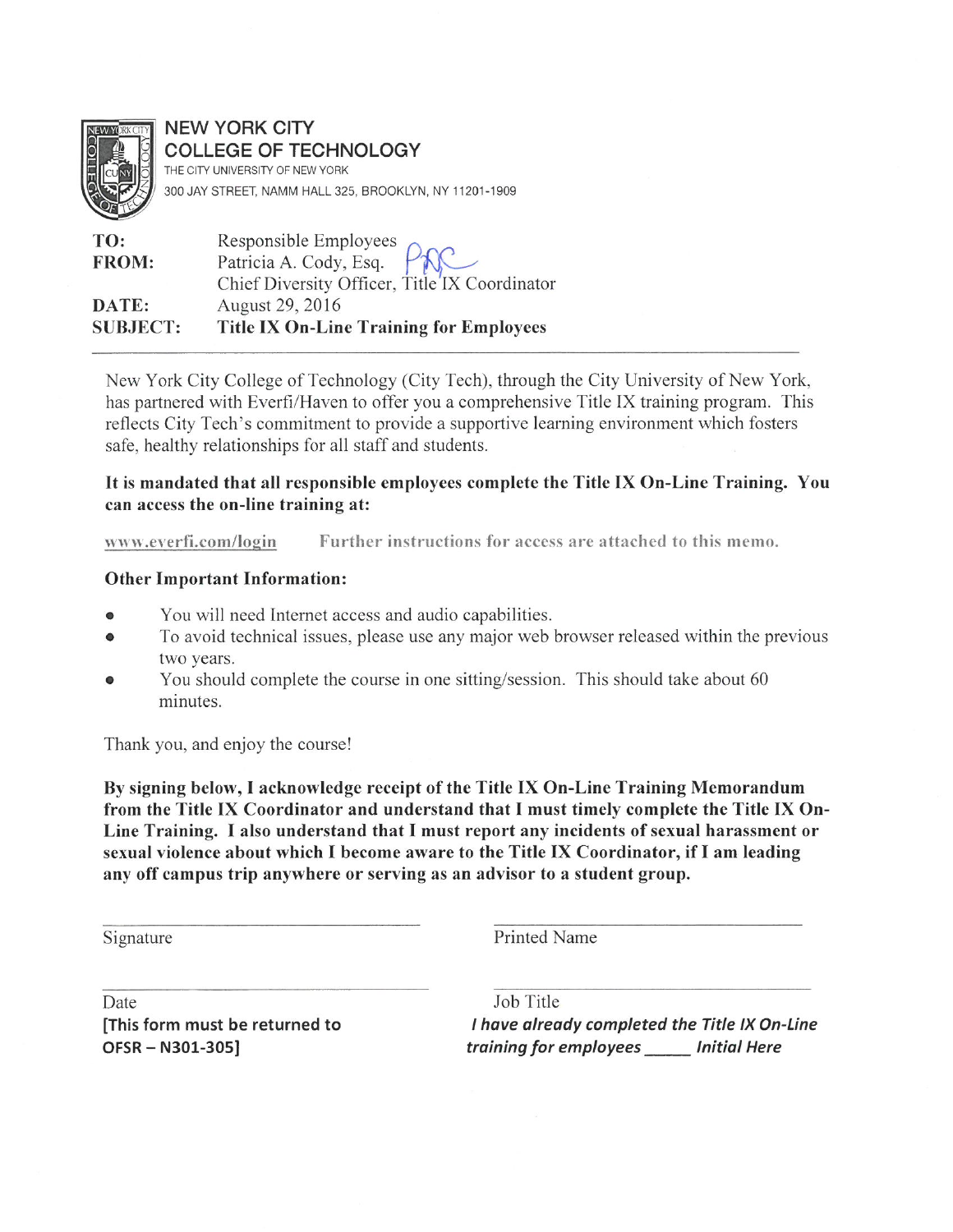

**NEW YORK CITY COLLEGE OF TECHNOLOGY** THE CITY UNIVERSITY OF NEW YORK 300 JAY STREET, NAMM HALL 325, BROOKLYN, NY 11201-1909

| TO:             |                                                |
|-----------------|------------------------------------------------|
| FROM:           | Responsible Employees PAC                      |
|                 | Chief Diversity Officer, Title'IX Coordinator  |
| DATE:           | August 29, 2016                                |
| <b>SUBJECT:</b> | <b>Title IX On-Line Training for Employees</b> |

New York City College of Technology (City Tech), through the City University of New York, has partnered with Everfi/Haven to offer you a comprehensive Title IX training program. This reflects City Tech's commitment to provide a supportive learning environment which fosters safe, healthy relationships for all staff and students.

### It is mandated that all responsible employees complete the Title IX On-Line Training. You can access the on-line training at:

Further instructions for access are attached to this memo. www.everfi.com/login

### **Other Important Information:**

- You will need Internet access and audio capabilities.
- To avoid technical issues, please use any major web browser released within the previous  $\bullet$ two years.
- You should complete the course in one sitting/session. This should take about 60 minutes.

Thank you, and enjoy the course!

By signing below, I acknowledge receipt of the Title IX On-Line Training Memorandum from the Title IX Coordinator and understand that I must timely complete the Title IX On-Line Training. I also understand that I must report any incidents of sexual harassment or sexual violence about which I become aware to the Title IX Coordinator, if I am leading any off campus trip anywhere or serving as an advisor to a student group.

Signature

**Printed Name** 

Date This form must be returned to OFSR-N301-305]

Job Title I have already completed the Title IX On-Line training for employees lnitial Here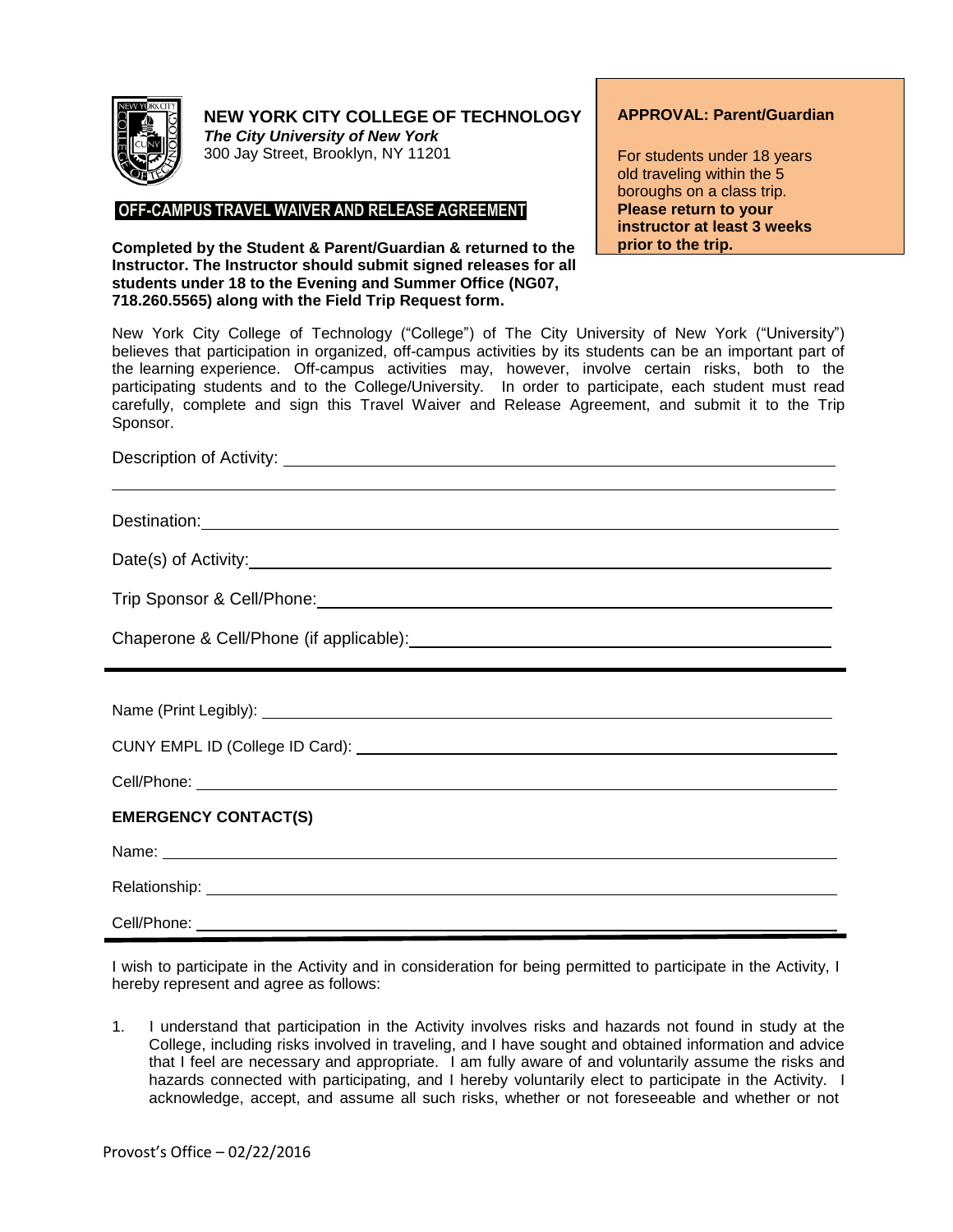

## **NEW YORK CITY COLLEGE OF TECHNOLOGY**

*The City University of New York* 300 Jay Street, Brooklyn, NY 11201

### **OFF-CAMPUS TRAVEL WAIVER AND RELEASE AGREEMENT**

**Completed by the Student & Parent/Guardian & returned to the Instructor. The Instructor should submit signed releases for all students under 18 to the Evening and Summer Office (NG07, 718.260.5565) along with the Field Trip Request form.**

#### **APPROVAL: Parent/Guardian**

For students under 18 years old traveling within the 5 boroughs on a class trip. **Please return to your instructor at least 3 weeks prior to the trip.**

New York City College of Technology ("College") of The City University of New York ("University") believes that participation in organized, off-campus activities by its students can be an important part of the learning experience. Off-campus activities may, however, involve certain risks, both to the participating students and to the College/University. In order to participate, each student must read carefully, complete and sign this Travel Waiver and Release Agreement, and submit it to the Trip Sponsor.

| Description of Activity: <u>Quality:</u> Quality: Quality: Quality: Quality: Quality: Quality: Quality: Quality: Quality: Quality: Quality: Quality: Quality: Quality: Quality: Quality: Quality: Quality: Quality: Quality: Qualit  |
|--------------------------------------------------------------------------------------------------------------------------------------------------------------------------------------------------------------------------------------|
|                                                                                                                                                                                                                                      |
| Destination: <u>contract and contract and contract and contract and contract and contract and contract and contract and contract and contract and contract and contract and contract and contract and contract and contract and </u> |
|                                                                                                                                                                                                                                      |
|                                                                                                                                                                                                                                      |
|                                                                                                                                                                                                                                      |
| ,我们也不会有什么。""我们的人,我们也不会有什么?""我们的人,我们也不会有什么?""我们的人,我们也不会有什么?""我们的人,我们也不会有什么?""我们的人                                                                                                                                                     |
|                                                                                                                                                                                                                                      |
|                                                                                                                                                                                                                                      |
|                                                                                                                                                                                                                                      |
| <b>EMERGENCY CONTACT(S)</b>                                                                                                                                                                                                          |
| Name: <u>2008 - 2008 - 2008 - 2008 - 2008 - 2008 - 2008 - 2008 - 2008 - 2008 - 2008 - 2008 - 2008 - 2008 - 2008 - 2008 - 2008 - 2008 - 2008 - 2008 - 2008 - 2008 - 2008 - 2008 - 2008 - 2008 - 2008 - 2008 - 2008 - 2008 - 2008 </u> |
|                                                                                                                                                                                                                                      |
|                                                                                                                                                                                                                                      |

I wish to participate in the Activity and in consideration for being permitted to participate in the Activity, I hereby represent and agree as follows:

1. I understand that participation in the Activity involves risks and hazards not found in study at the College, including risks involved in traveling, and I have sought and obtained information and advice that I feel are necessary and appropriate. I am fully aware of and voluntarily assume the risks and hazards connected with participating, and I hereby voluntarily elect to participate in the Activity. I acknowledge, accept, and assume all such risks, whether or not foreseeable and whether or not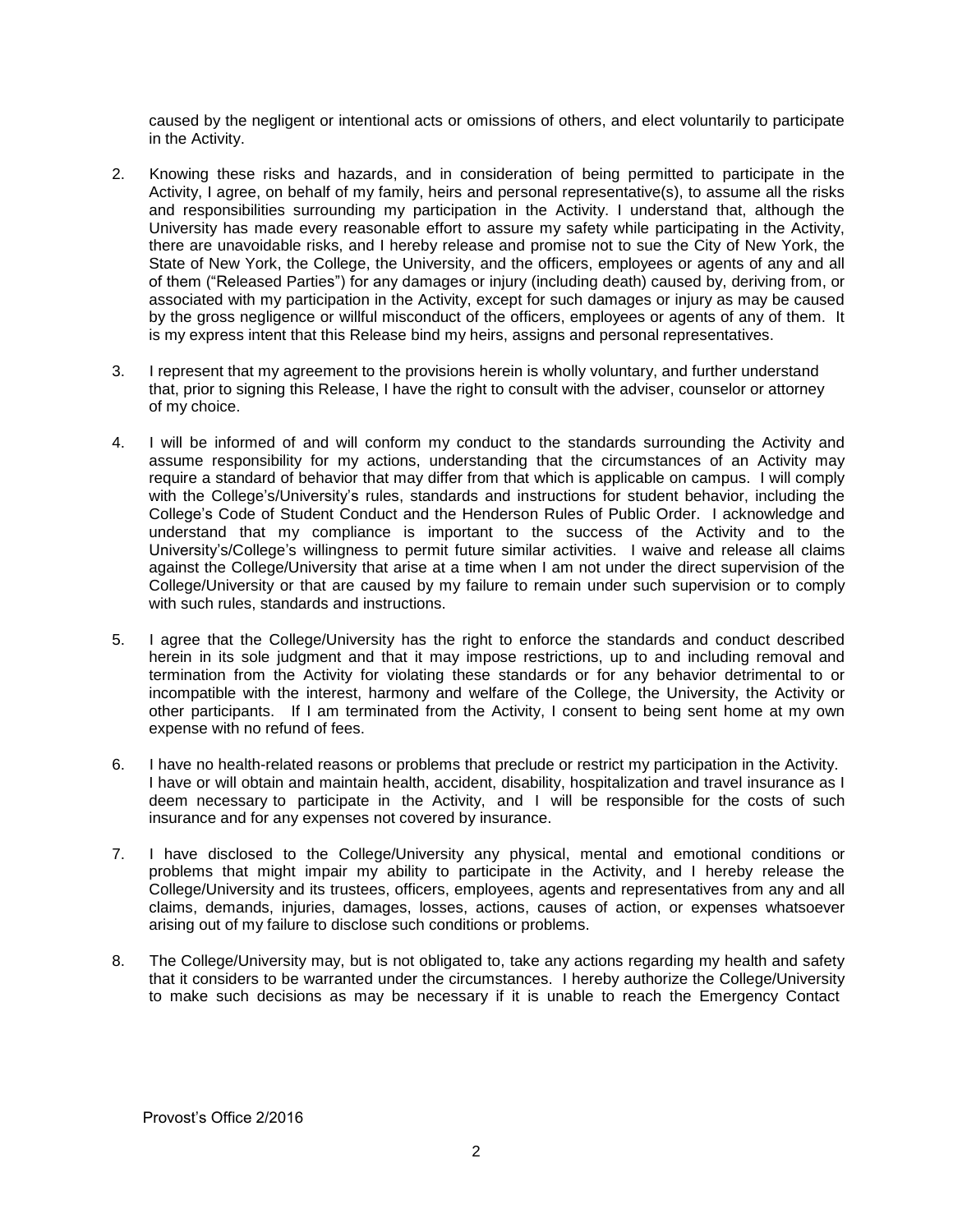caused by the negligent or intentional acts or omissions of others, and elect voluntarily to participate in the Activity.

- 2. Knowing these risks and hazards, and in consideration of being permitted to participate in the Activity, I agree, on behalf of my family, heirs and personal representative(s), to assume all the risks and responsibilities surrounding my participation in the Activity. I understand that, although the University has made every reasonable effort to assure my safety while participating in the Activity, there are unavoidable risks, and I hereby release and promise not to sue the City of New York, the State of New York, the College, the University, and the officers, employees or agents of any and all of them ("Released Parties") for any damages or injury (including death) caused by, deriving from, or associated with my participation in the Activity, except for such damages or injury as may be caused by the gross negligence or willful misconduct of the officers, employees or agents of any of them. It is my express intent that this Release bind my heirs, assigns and personal representatives.
- 3. I represent that my agreement to the provisions herein is wholly voluntary, and further understand that, prior to signing this Release, I have the right to consult with the adviser, counselor or attorney of my choice.
- 4. I will be informed of and will conform my conduct to the standards surrounding the Activity and assume responsibility for my actions, understanding that the circumstances of an Activity may require a standard of behavior that may differ from that which is applicable on campus. I will comply with the College's/University's rules, standards and instructions for student behavior, including the College's Code of Student Conduct and the Henderson Rules of Public Order. I acknowledge and understand that my compliance is important to the success of the Activity and to the University's/College's willingness to permit future similar activities. I waive and release all claims against the College/University that arise at a time when I am not under the direct supervision of the College/University or that are caused by my failure to remain under such supervision or to comply with such rules, standards and instructions.
- 5. I agree that the College/University has the right to enforce the standards and conduct described herein in its sole judgment and that it may impose restrictions, up to and including removal and termination from the Activity for violating these standards or for any behavior detrimental to or incompatible with the interest, harmony and welfare of the College, the University, the Activity or other participants. If I am terminated from the Activity, I consent to being sent home at my own expense with no refund of fees.
- 6. I have no health-related reasons or problems that preclude or restrict my participation in the Activity. I have or will obtain and maintain health, accident, disability, hospitalization and travel insurance as I deem necessary to participate in the Activity, and I will be responsible for the costs of such insurance and for any expenses not covered by insurance.
- 7. I have disclosed to the College/University any physical, mental and emotional conditions or problems that might impair my ability to participate in the Activity, and I hereby release the College/University and its trustees, officers, employees, agents and representatives from any and all claims, demands, injuries, damages, losses, actions, causes of action, or expenses whatsoever arising out of my failure to disclose such conditions or problems.
- 8. The College/University may, but is not obligated to, take any actions regarding my health and safety that it considers to be warranted under the circumstances. I hereby authorize the College/University to make such decisions as may be necessary if it is unable to reach the Emergency Contact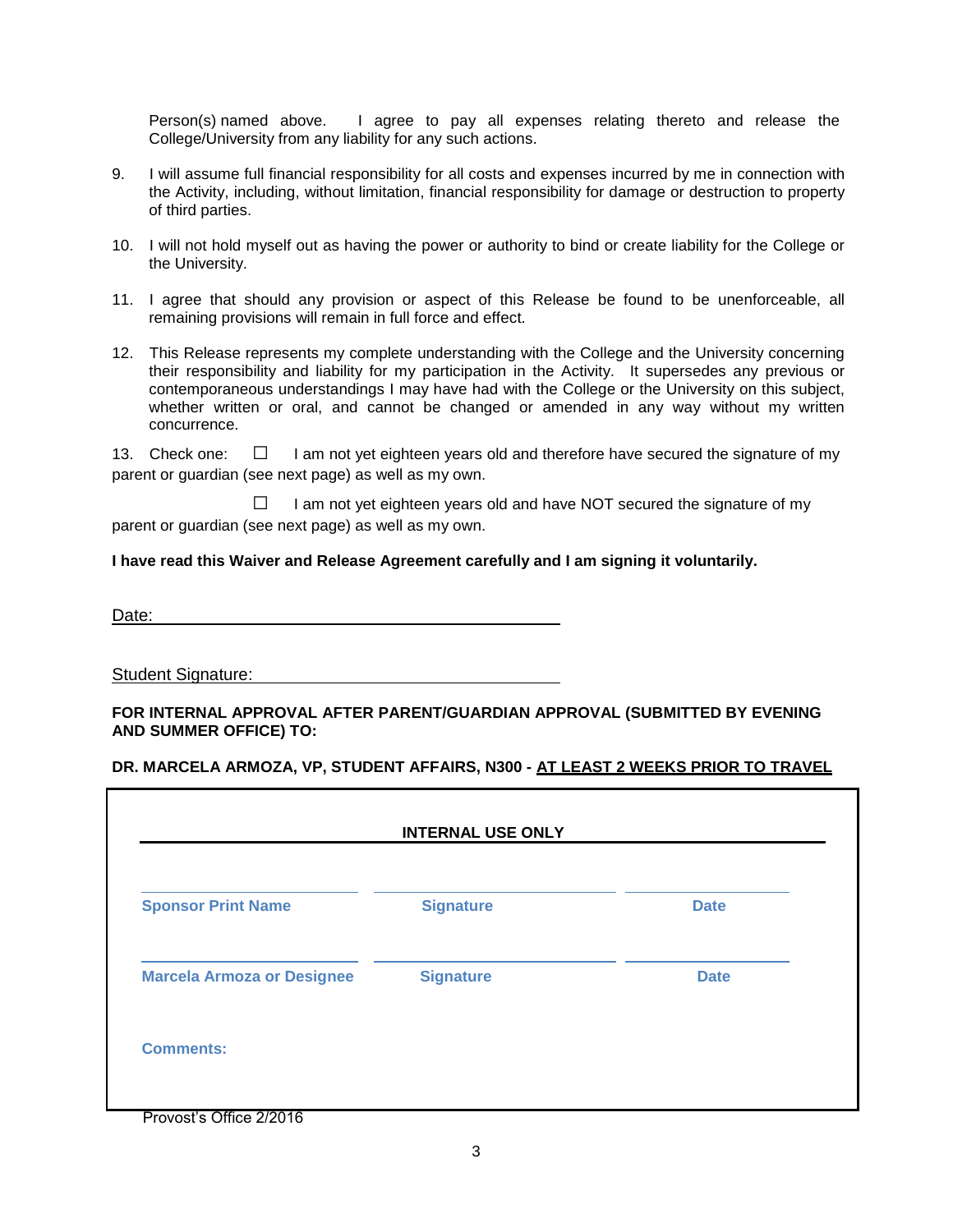Person(s) named above. I agree to pay all expenses relating thereto and release the College/University from any liability for any such actions.

- 9. I will assume full financial responsibility for all costs and expenses incurred by me in connection with the Activity, including, without limitation, financial responsibility for damage or destruction to property of third parties.
- 10. I will not hold myself out as having the power or authority to bind or create liability for the College or the University.
- 11. I agree that should any provision or aspect of this Release be found to be unenforceable, all remaining provisions will remain in full force and effect.
- 12. This Release represents my complete understanding with the College and the University concerning their responsibility and liability for my participation in the Activity. It supersedes any previous or contemporaneous understandings I may have had with the College or the University on this subject, whether written or oral, and cannot be changed or amended in any way without my written concurrence.

13. Check one:  $\Box$  I am not yet eighteen years old and therefore have secured the signature of my parent or guardian (see next page) as well as my own.

 $\Box$  I am not yet eighteen years old and have NOT secured the signature of my parent or guardian (see next page) as well as my own.

#### **I have read this Waiver and Release Agreement carefully and I am signing it voluntarily.**

Date:

Student Signature:

#### **FOR INTERNAL APPROVAL AFTER PARENT/GUARDIAN APPROVAL (SUBMITTED BY EVENING AND SUMMER OFFICE) TO:**

#### **DR. MARCELA ARMOZA, VP, STUDENT AFFAIRS, N300 - AT LEAST 2 WEEKS PRIOR TO TRAVEL**

٦

| <b>Sponsor Print Name</b>         | <b>Signature</b> | <b>Date</b> |
|-----------------------------------|------------------|-------------|
| <b>Marcela Armoza or Designee</b> | <b>Signature</b> | <b>Date</b> |

Provost's Office 2/2016